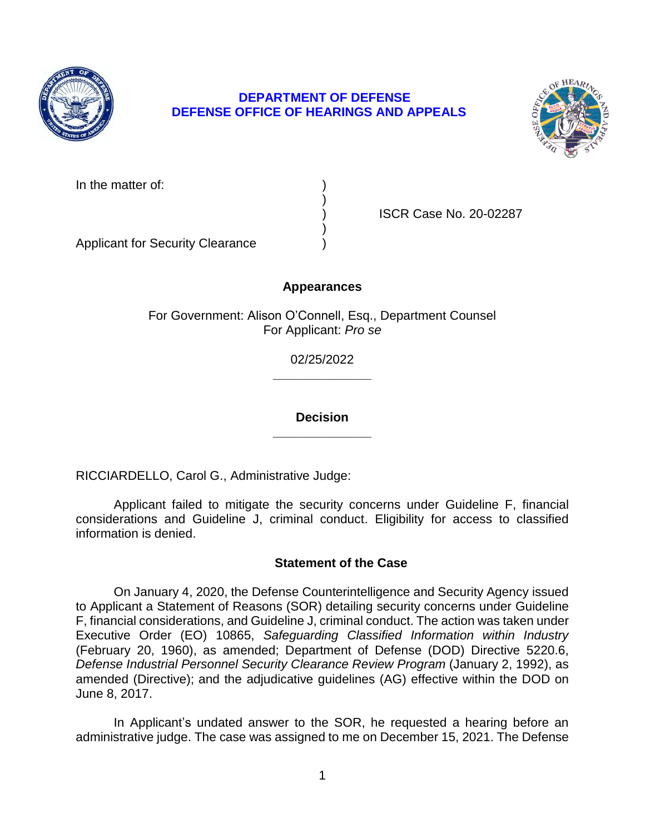

# **DEPARTMENT OF DEFENSE DEFENSE OFFICE OF HEARINGS AND APPEALS**



| In the matter of: |  |
|-------------------|--|
|-------------------|--|

) ISCR Case No. 20-02287

Applicant for Security Clearance )

## **Appearances**

)

)

For Government: Alison O'Connell, Esq., Department Counsel For Applicant: *Pro se* 

> **\_\_\_\_\_\_\_\_\_\_\_\_\_\_**  02/25/2022

> **\_\_\_\_\_\_\_\_\_\_\_\_\_\_ Decision**

RICCIARDELLO, Carol G., Administrative Judge:

 Applicant failed to mitigate the security concerns under Guideline F, financial considerations and Guideline J, criminal conduct. Eligibility for access to classified information is denied.

## **Statement of the Case**

 On January 4, 2020, the Defense Counterintelligence and Security Agency issued to Applicant a Statement of Reasons (SOR) detailing security concerns under Guideline F, financial considerations, and Guideline J, criminal conduct. The action was taken under  Executive Order (EO) 10865, *Safeguarding Classified Information within Industry*  (February 20, 1960), as amended; Department of Defense (DOD) Directive 5220.6, amended (Directive); and the adjudicative guidelines (AG) effective within the DOD on *Defense Industrial Personnel Security Clearance Review Program* (January 2, 1992), as June 8, 2017.

 In Applicant's undated answer to the SOR, he requested a hearing before an administrative judge. The case was assigned to me on December 15, 2021. The Defense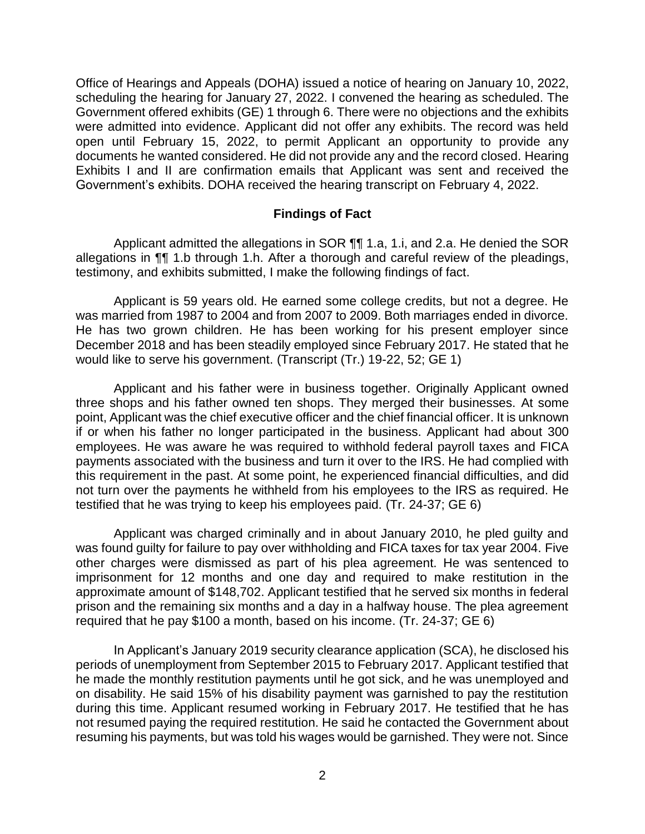scheduling the hearing for January 27, 2022. I convened the hearing as scheduled. The Government offered exhibits (GE) 1 through 6. There were no objections and the exhibits were admitted into evidence. Applicant did not offer any exhibits. The record was held open until February 15, 2022, to permit Applicant an opportunity to provide any documents he wanted considered. He did not provide any and the record closed. Hearing Exhibits I and II are confirmation emails that Applicant was sent and received the Office of Hearings and Appeals (DOHA) issued a notice of hearing on January 10, 2022, Government's exhibits. DOHA received the hearing transcript on February 4, 2022.

#### **Findings of Fact**

Applicant admitted the allegations in SOR  $\P\P$  1.a, 1.i, and 2.a. He denied the SOR allegations in ¶¶ 1.b through 1.h. After a thorough and careful review of the pleadings, testimony, and exhibits submitted, I make the following findings of fact.

 Applicant is 59 years old. He earned some college credits, but not a degree. He was married from 1987 to 2004 and from 2007 to 2009. Both marriages ended in divorce. He has two grown children. He has been working for his present employer since December 2018 and has been steadily employed since February 2017. He stated that he would like to serve his government. (Transcript (Tr.) 19-22, 52; GE 1)

 three shops and his father owned ten shops. They merged their businesses. At some point, Applicant was the chief executive officer and the chief financial officer. It is unknown if or when his father no longer participated in the business. Applicant had about 300 employees. He was aware he was required to withhold federal payroll taxes and FICA payments associated with the business and turn it over to the IRS. He had complied with not turn over the payments he withheld from his employees to the IRS as required. He Applicant and his father were in business together. Originally Applicant owned this requirement in the past. At some point, he experienced financial difficulties, and did testified that he was trying to keep his employees paid. (Tr. 24-37; GE 6)

 Applicant was charged criminally and in about January 2010, he pled guilty and was found guilty for failure to pay over withholding and FICA taxes for tax year 2004. Five other charges were dismissed as part of his plea agreement. He was sentenced to imprisonment for 12 months and one day and required to make restitution in the approximate amount of \$148,702. Applicant testified that he served six months in federal prison and the remaining six months and a day in a halfway house. The plea agreement required that he pay \$100 a month, based on his income. (Tr. 24-37; GE 6)

 In Applicant's January 2019 security clearance application (SCA), he disclosed his periods of unemployment from September 2015 to February 2017. Applicant testified that he made the monthly restitution payments until he got sick, and he was unemployed and on disability. He said 15% of his disability payment was garnished to pay the restitution during this time. Applicant resumed working in February 2017. He testified that he has not resumed paying the required restitution. He said he contacted the Government about resuming his payments, but was told his wages would be garnished. They were not. Since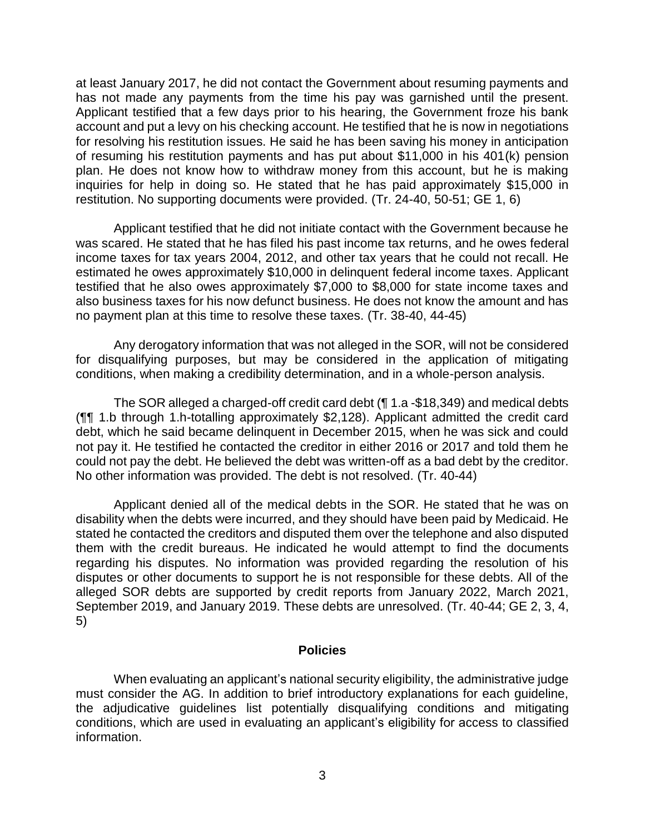at least January 2017, he did not contact the Government about resuming payments and has not made any payments from the time his pay was garnished until the present. Applicant testified that a few days prior to his hearing, the Government froze his bank account and put a levy on his checking account. He testified that he is now in negotiations for resolving his restitution issues. He said he has been saving his money in anticipation of resuming his restitution payments and has put about \$11,000 in his 401(k) pension plan. He does not know how to withdraw money from this account, but he is making inquiries for help in doing so. He stated that he has paid approximately \$15,000 in restitution. No supporting documents were provided. (Tr. 24-40, 50-51; GE 1, 6)

 Applicant testified that he did not initiate contact with the Government because he was scared. He stated that he has filed his past income tax returns, and he owes federal income taxes for tax years 2004, 2012, and other tax years that he could not recall. He estimated he owes approximately \$10,000 in delinquent federal income taxes. Applicant testified that he also owes approximately \$7,000 to \$8,000 for state income taxes and also business taxes for his now defunct business. He does not know the amount and has no payment plan at this time to resolve these taxes. (Tr. 38-40, 44-45)

 Any derogatory information that was not alleged in the SOR, will not be considered for disqualifying purposes, but may be considered in the application of mitigating conditions, when making a credibility determination, and in a whole-person analysis.

 The SOR alleged a charged-off credit card debt (¶ 1.a -\$18,349) and medical debts (¶¶ 1.b through 1.h-totalling approximately \$2,128). Applicant admitted the credit card debt, which he said became delinquent in December 2015, when he was sick and could not pay it. He testified he contacted the creditor in either 2016 or 2017 and told them he could not pay the debt. He believed the debt was written-off as a bad debt by the creditor. No other information was provided. The debt is not resolved. (Tr. 40-44)

 Applicant denied all of the medical debts in the SOR. He stated that he was on disability when the debts were incurred, and they should have been paid by Medicaid. He stated he contacted the creditors and disputed them over the telephone and also disputed them with the credit bureaus. He indicated he would attempt to find the documents regarding his disputes. No information was provided regarding the resolution of his disputes or other documents to support he is not responsible for these debts. All of the alleged SOR debts are supported by credit reports from January 2022, March 2021, September 2019, and January 2019. These debts are unresolved. (Tr. 40-44; GE 2, 3, 4, 5)

#### **Policies**

 When evaluating an applicant's national security eligibility, the administrative judge must consider the AG. In addition to brief introductory explanations for each guideline, the adjudicative guidelines list potentially disqualifying conditions and mitigating conditions, which are used in evaluating an applicant's eligibility for access to classified information.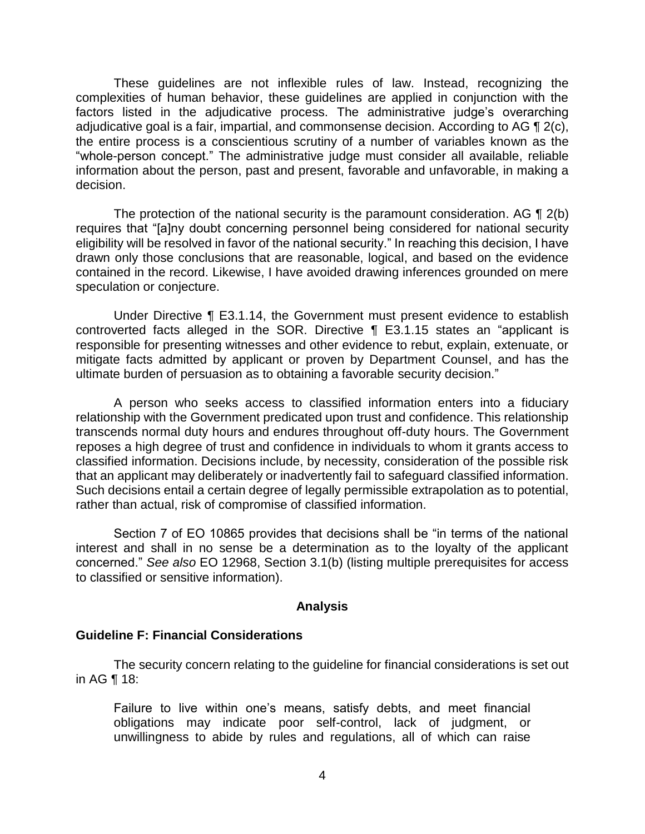These guidelines are not inflexible rules of law. Instead, recognizing the complexities of human behavior, these guidelines are applied in conjunction with the factors listed in the adjudicative process. The administrative judge's overarching adjudicative goal is a fair, impartial, and commonsense decision. According to AG  $\P$  2(c), the entire process is a conscientious scrutiny of a number of variables known as the "whole-person concept." The administrative judge must consider all available, reliable information about the person, past and present, favorable and unfavorable, in making a decision.

The protection of the national security is the paramount consideration. AG  $\P$  2(b) eligibility will be resolved in favor of the national security." In reaching this decision, I have drawn only those conclusions that are reasonable, logical, and based on the evidence contained in the record. Likewise, I have avoided drawing inferences grounded on mere requires that "[a]ny doubt concerning personnel being considered for national security speculation or conjecture.

 Under Directive ¶ E3.1.14, the Government must present evidence to establish controverted facts alleged in the SOR. Directive ¶ E3.1.15 states an "applicant is responsible for presenting witnesses and other evidence to rebut, explain, extenuate, or mitigate facts admitted by applicant or proven by Department Counsel, and has the ultimate burden of persuasion as to obtaining a favorable security decision."

 A person who seeks access to classified information enters into a fiduciary relationship with the Government predicated upon trust and confidence. This relationship transcends normal duty hours and endures throughout off-duty hours. The Government reposes a high degree of trust and confidence in individuals to whom it grants access to classified information. Decisions include, by necessity, consideration of the possible risk that an applicant may deliberately or inadvertently fail to safeguard classified information. Such decisions entail a certain degree of legally permissible extrapolation as to potential, rather than actual, risk of compromise of classified information.

 Section 7 of EO 10865 provides that decisions shall be "in terms of the national interest and shall in no sense be a determination as to the loyalty of the applicant concerned." *See also* EO 12968, Section 3.1(b) (listing multiple prerequisites for access to classified or sensitive information).

#### **Analysis**

#### **Guideline F: Financial Considerations**

 The security concern relating to the guideline for financial considerations is set out in AG ¶ 18:

Failure to live within one's means, satisfy debts, and meet financial obligations may indicate poor self-control, lack of judgment, or unwillingness to abide by rules and regulations, all of which can raise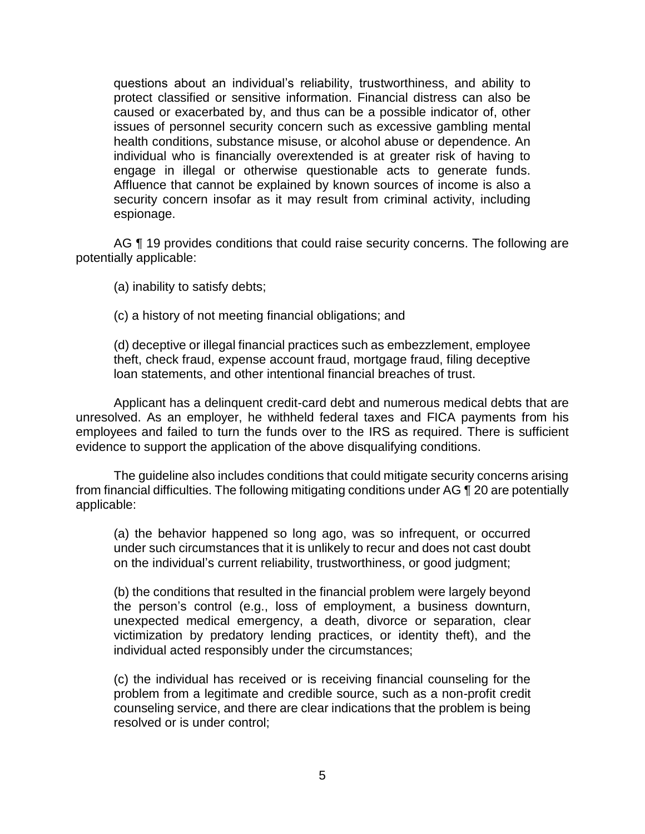questions about an individual's reliability, trustworthiness, and ability to protect classified or sensitive information. Financial distress can also be caused or exacerbated by, and thus can be a possible indicator of, other issues of personnel security concern such as excessive gambling mental health conditions, substance misuse, or alcohol abuse or dependence. An individual who is financially overextended is at greater risk of having to engage in illegal or otherwise questionable acts to generate funds. Affluence that cannot be explained by known sources of income is also a security concern insofar as it may result from criminal activity, including espionage.

AG ¶ 19 provides conditions that could raise security concerns. The following are potentially applicable:

(a) inability to satisfy debts;

(c) a history of not meeting financial obligations; and

(d) deceptive or illegal financial practices such as embezzlement, employee theft, check fraud, expense account fraud, mortgage fraud, filing deceptive loan statements, and other intentional financial breaches of trust.

 unresolved. As an employer, he withheld federal taxes and FICA payments from his employees and failed to turn the funds over to the IRS as required. There is sufficient Applicant has a delinquent credit-card debt and numerous medical debts that are evidence to support the application of the above disqualifying conditions.

 The guideline also includes conditions that could mitigate security concerns arising from financial difficulties. The following mitigating conditions under AG ¶ 20 are potentially applicable:

(a) the behavior happened so long ago, was so infrequent, or occurred under such circumstances that it is unlikely to recur and does not cast doubt on the individual's current reliability, trustworthiness, or good judgment;

(b) the conditions that resulted in the financial problem were largely beyond the person's control (e.g., loss of employment, a business downturn, unexpected medical emergency, a death, divorce or separation, clear victimization by predatory lending practices, or identity theft), and the individual acted responsibly under the circumstances;

(c) the individual has received or is receiving financial counseling for the problem from a legitimate and credible source, such as a non-profit credit counseling service, and there are clear indications that the problem is being resolved or is under control;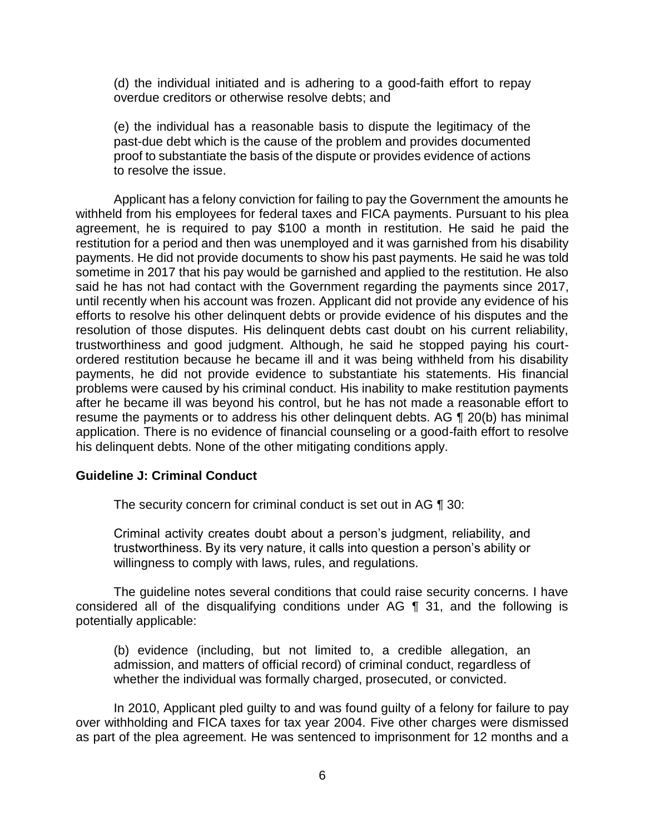(d) the individual initiated and is adhering to a good-faith effort to repay overdue creditors or otherwise resolve debts; and

(e) the individual has a reasonable basis to dispute the legitimacy of the past-due debt which is the cause of the problem and provides documented proof to substantiate the basis of the dispute or provides evidence of actions to resolve the issue.

 Applicant has a felony conviction for failing to pay the Government the amounts he withheld from his employees for federal taxes and FICA payments. Pursuant to his plea agreement, he is required to pay \$100 a month in restitution. He said he paid the restitution for a period and then was unemployed and it was garnished from his disability payments. He did not provide documents to show his past payments. He said he was told sometime in 2017 that his pay would be garnished and applied to the restitution. He also said he has not had contact with the Government regarding the payments since 2017, until recently when his account was frozen. Applicant did not provide any evidence of his efforts to resolve his other delinquent debts or provide evidence of his disputes and the resolution of those disputes. His delinquent debts cast doubt on his current reliability, trustworthiness and good judgment. Although, he said he stopped paying his court- ordered restitution because he became ill and it was being withheld from his disability payments, he did not provide evidence to substantiate his statements. His financial problems were caused by his criminal conduct. His inability to make restitution payments after he became ill was beyond his control, but he has not made a reasonable effort to resume the payments or to address his other delinquent debts. AG ¶ 20(b) has minimal application. There is no evidence of financial counseling or a good-faith effort to resolve his delinquent debts. None of the other mitigating conditions apply.

## **Guideline J: Criminal Conduct**

The security concern for criminal conduct is set out in AG ¶ 30:

Criminal activity creates doubt about a person's judgment, reliability, and trustworthiness. By its very nature, it calls into question a person's ability or willingness to comply with laws, rules, and regulations.

 The guideline notes several conditions that could raise security concerns. I have considered all of the disqualifying conditions under AG ¶ 31, and the following is potentially applicable:

(b) evidence (including, but not limited to, a credible allegation, an admission, and matters of official record) of criminal conduct, regardless of whether the individual was formally charged, prosecuted, or convicted.

 In 2010, Applicant pled guilty to and was found guilty of a felony for failure to pay over withholding and FICA taxes for tax year 2004. Five other charges were dismissed as part of the plea agreement. He was sentenced to imprisonment for 12 months and a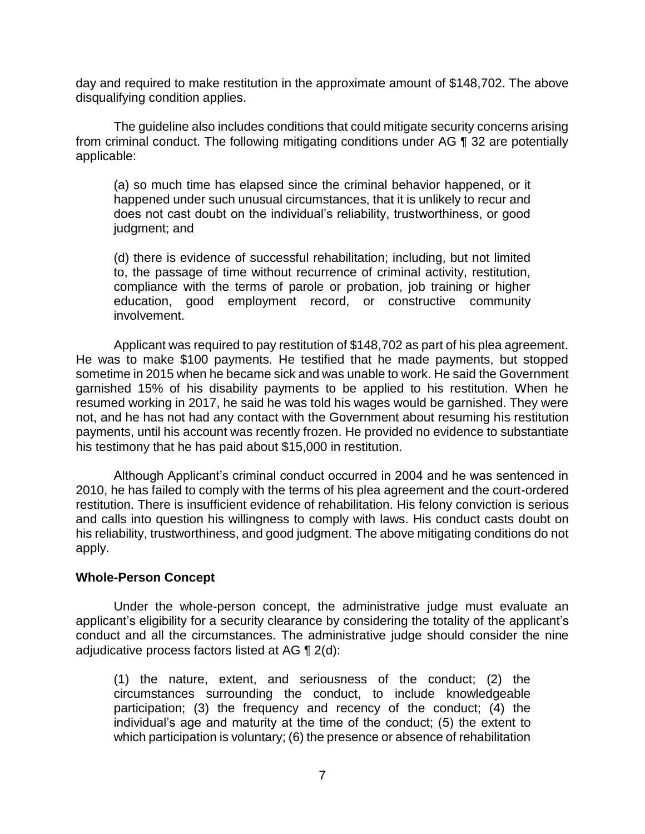day and required to make restitution in the approximate amount of \$148,702. The above disqualifying condition applies.

 The guideline also includes conditions that could mitigate security concerns arising from criminal conduct. The following mitigating conditions under AG ¶ 32 are potentially applicable:

(a) so much time has elapsed since the criminal behavior happened, or it happened under such unusual circumstances, that it is unlikely to recur and does not cast doubt on the individual's reliability, trustworthiness, or good judgment; and

(d) there is evidence of successful rehabilitation; including, but not limited to, the passage of time without recurrence of criminal activity, restitution, compliance with the terms of parole or probation, job training or higher education, good employment record, or constructive community involvement.

 Applicant was required to pay restitution of \$148,702 as part of his plea agreement. He was to make \$100 payments. He testified that he made payments, but stopped sometime in 2015 when he became sick and was unable to work. He said the Government garnished 15% of his disability payments to be applied to his restitution. When he resumed working in 2017, he said he was told his wages would be garnished. They were not, and he has not had any contact with the Government about resuming his restitution payments, until his account was recently frozen. He provided no evidence to substantiate his testimony that he has paid about \$15,000 in restitution.

 Although Applicant's criminal conduct occurred in 2004 and he was sentenced in 2010, he has failed to comply with the terms of his plea agreement and the court-ordered and calls into question his willingness to comply with laws. His conduct casts doubt on his reliability, trustworthiness, and good judgment. The above mitigating conditions do not restitution. There is insufficient evidence of rehabilitation. His felony conviction is serious apply.

## **Whole-Person Concept**

 Under the whole-person concept, the administrative judge must evaluate an applicant's eligibility for a security clearance by considering the totality of the applicant's conduct and all the circumstances. The administrative judge should consider the nine adjudicative process factors listed at AG ¶ 2(d):

 (1) the nature, extent, and seriousness of the conduct; (2) the circumstances surrounding the conduct, to include knowledgeable participation; (3) the frequency and recency of the conduct; (4) the individual's age and maturity at the time of the conduct; (5) the extent to which participation is voluntary; (6) the presence or absence of rehabilitation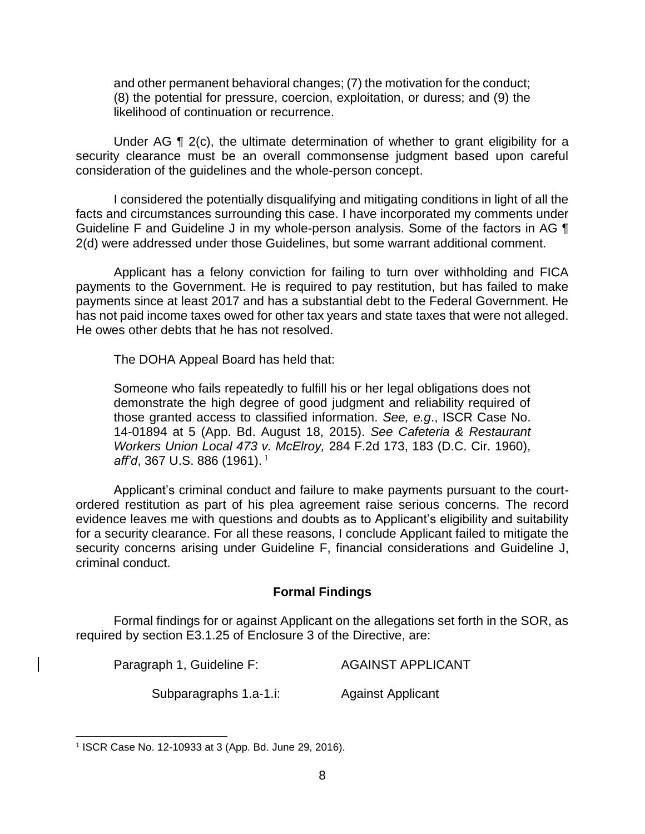and other permanent behavioral changes; (7) the motivation for the conduct; (8) the potential for pressure, coercion, exploitation, or duress; and (9) the likelihood of continuation or recurrence.

Under AG ¶ 2(c), the ultimate determination of whether to grant eligibility for a security clearance must be an overall commonsense judgment based upon careful consideration of the guidelines and the whole-person concept.

 I considered the potentially disqualifying and mitigating conditions in light of all the Guideline F and Guideline J in my whole-person analysis. Some of the factors in AG  $\P$ facts and circumstances surrounding this case. I have incorporated my comments under 2(d) were addressed under those Guidelines, but some warrant additional comment.

 Applicant has a felony conviction for failing to turn over withholding and FICA payments to the Government. He is required to pay restitution, but has failed to make has not paid income taxes owed for other tax years and state taxes that were not alleged. payments since at least 2017 and has a substantial debt to the Federal Government. He He owes other debts that he has not resolved.

The DOHA Appeal Board has held that:

 Someone who fails repeatedly to fulfill his or her legal obligations does not demonstrate the high degree of good judgment and reliability required of those granted access to classified information. *See, e.g*., ISCR Case No. 14-01894 at 5 (App. Bd. August 18, 2015). *See Cafeteria & Restaurant Workers Union Local 473 v. McElroy,* 284 F.2d 173, 183 (D.C. Cir. 1960), 1 *aff'd*, 367 U.S. 886 (1961).

 Applicant's criminal conduct and failure to make payments pursuant to the court- ordered restitution as part of his plea agreement raise serious concerns. The record evidence leaves me with questions and doubts as to Applicant's eligibility and suitability security concerns arising under Guideline F, financial considerations and Guideline J, for a security clearance. For all these reasons, I conclude Applicant failed to mitigate the criminal conduct.

#### **Formal Findings**

 Formal findings for or against Applicant on the allegations set forth in the SOR, as required by section E3.1.25 of Enclosure 3 of the Directive, are:

| Paragraph 1, Guideline F: | <b>AGAINST APPLICANT</b> |
|---------------------------|--------------------------|
| Subparagraphs 1.a-1.i:    | <b>Against Applicant</b> |

<sup>1</sup> ISCR Case No. 12-10933 at 3 (App. Bd. June 29, 2016).

 $\overline{a}$